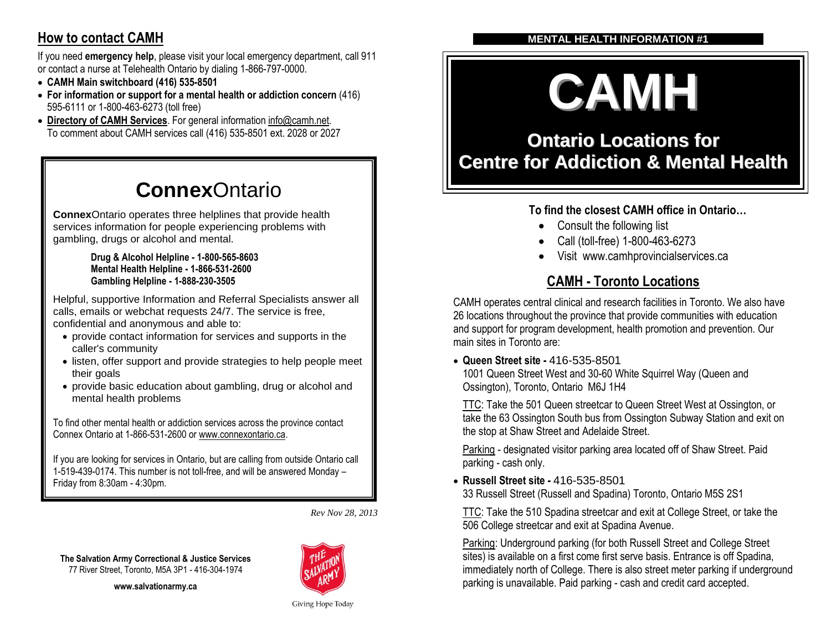# **How to contact CAMH**

If you need **emergency help**, please visit your local emergency department, call 911 or contact a nurse at Telehealth Ontario by dialing 1-866-797-0000.

- **CAMH Main switchboard (416) 535-8501**
- **For information or support for a mental health or addiction concern** (416) 595-6111 or 1-800-463-6273 (toll free)
- **[Directory of CAMH Services](http://www.camhx.ca/About_CAMH/Guide_to_CAMH/index.html)**. For general informatio[n info@camh.net.](mailto:info@camh.net) To comment about CAMH services call (416) 535-8501 ext. 2028 or 2027

# **Connex**Ontario

**Connex**Ontario operates three helplines that provide health services information for people experiencing problems with gambling, drugs or alcohol and mental.

#### **Drug & Alcohol Helpline - 1-800-565-8603 Mental Health Helpline - 1-866-531-2600 Gambling Helpline - 1-888-230-3505**

Helpful, supportive Information and Referral Specialists answer all calls, emails or webchat requests 24/7. The service is free, confidential and anonymous and able to:

- provide contact information for services and supports in the caller's community
- listen, offer support and provide strategies to help people meet their goals
- provide basic education about gambling, drug or alcohol and mental health problems

To find other mental health or addiction services across the province contact Connex Ontario at 1-866-531-2600 o[r www.connexontario.ca.](http://www.connexontario.ca/)

If you are looking for services in Ontario, but are calling from outside Ontario call 1-519-439-0174. This number is not toll-free, and will be answered Monday – Friday from 8:30am - 4:30pm.

*Rev Nov 28, 2013*

**www.salvationarmy.ca**



# **MENTAL HEALTH INFORMATION #1**

# **CAMH**

# **Ontario Locations for Centre for Addiction & Mental Health**

# **To find the closest CAMH office in Ontario…**

- Consult the following list
- Call (toll-free) 1-800-463-6273
- Visit www.camhprovincialservices.ca

# **CAMH - Toronto Locations**

CAMH operates central clinical and research facilities in Toronto. We also have 26 locations throughout the province that provide communities with education and support for program development, health promotion and prevention. Our main sites in Toronto are:

**Queen Street site -** 416-535-8501

1001 Queen Street West and 30-60 White Squirrel Way (Queen and Ossington), Toronto, Ontario M6J 1H4

TTC: Take the 501 Queen streetcar to Queen Street West at Ossington, or take the 63 Ossington South bus from Ossington Subway Station and exit on the stop at Shaw Street and Adelaide Street.

Parking - designated visitor parking area located off of Shaw Street. Paid parking - cash only.

 **Russell Street site -** 416-535-8501 33 Russell Street (Russell and Spadina) Toronto, Ontario M5S 2S1

TTC: Take the 510 Spadina streetcar and exit at College Street, or take the 506 College streetcar and exit at Spadina Avenue.

Parking: Underground parking (for both Russell Street and College Street sites) is available on a first come first serve basis. Entrance is off Spadina, immediately north of College. There is also street meter parking if underground parking is unavailable. Paid parking - cash and credit card accepted.